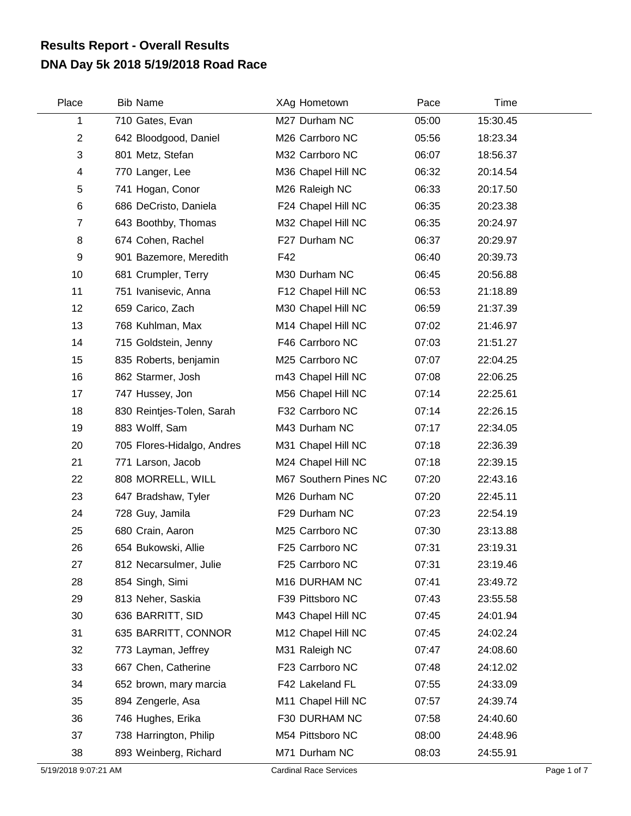## **DNA Day 5k 2018 5/19/2018 Road Race Results Report - Overall Results**

| Place          | <b>Bib Name</b>            | XAg Hometown          | Pace  | Time     |  |
|----------------|----------------------------|-----------------------|-------|----------|--|
| 1              | 710 Gates, Evan            | M27 Durham NC         | 05:00 | 15:30.45 |  |
| $\overline{2}$ | 642 Bloodgood, Daniel      | M26 Carrboro NC       | 05:56 | 18:23.34 |  |
| 3              | 801 Metz, Stefan           | M32 Carrboro NC       | 06:07 | 18:56.37 |  |
| 4              | 770 Langer, Lee            | M36 Chapel Hill NC    | 06:32 | 20:14.54 |  |
| 5              | 741 Hogan, Conor           | M26 Raleigh NC        | 06:33 | 20:17.50 |  |
| 6              | 686 DeCristo, Daniela      | F24 Chapel Hill NC    | 06:35 | 20:23.38 |  |
| $\overline{7}$ | 643 Boothby, Thomas        | M32 Chapel Hill NC    | 06:35 | 20:24.97 |  |
| 8              | 674 Cohen, Rachel          | F27 Durham NC         | 06:37 | 20:29.97 |  |
| 9              | 901 Bazemore, Meredith     | F42                   | 06:40 | 20:39.73 |  |
| 10             | 681 Crumpler, Terry        | M30 Durham NC         | 06:45 | 20:56.88 |  |
| 11             | 751 Ivanisevic, Anna       | F12 Chapel Hill NC    | 06:53 | 21:18.89 |  |
| 12             | 659 Carico, Zach           | M30 Chapel Hill NC    | 06:59 | 21:37.39 |  |
| 13             | 768 Kuhlman, Max           | M14 Chapel Hill NC    | 07:02 | 21:46.97 |  |
| 14             | 715 Goldstein, Jenny       | F46 Carrboro NC       | 07:03 | 21:51.27 |  |
| 15             | 835 Roberts, benjamin      | M25 Carrboro NC       | 07:07 | 22:04.25 |  |
| 16             | 862 Starmer, Josh          | m43 Chapel Hill NC    | 07:08 | 22:06.25 |  |
| 17             | 747 Hussey, Jon            | M56 Chapel Hill NC    | 07:14 | 22:25.61 |  |
| 18             | 830 Reintjes-Tolen, Sarah  | F32 Carrboro NC       | 07:14 | 22:26.15 |  |
| 19             | 883 Wolff, Sam             | M43 Durham NC         | 07:17 | 22:34.05 |  |
| 20             | 705 Flores-Hidalgo, Andres | M31 Chapel Hill NC    | 07:18 | 22:36.39 |  |
| 21             | 771 Larson, Jacob          | M24 Chapel Hill NC    | 07:18 | 22:39.15 |  |
| 22             | 808 MORRELL, WILL          | M67 Southern Pines NC | 07:20 | 22:43.16 |  |
| 23             | 647 Bradshaw, Tyler        | M26 Durham NC         | 07:20 | 22:45.11 |  |
| 24             | 728 Guy, Jamila            | F29 Durham NC         | 07:23 | 22:54.19 |  |
| 25             | 680 Crain, Aaron           | M25 Carrboro NC       | 07:30 | 23:13.88 |  |
| 26             | 654 Bukowski, Allie        | F25 Carrboro NC       | 07:31 | 23:19.31 |  |
| 27             | 812 Necarsulmer, Julie     | F25 Carrboro NC       | 07:31 | 23:19.46 |  |
| 28             | 854 Singh, Simi            | M16 DURHAM NC         | 07:41 | 23:49.72 |  |
| 29             | 813 Neher, Saskia          | F39 Pittsboro NC      | 07:43 | 23:55.58 |  |
| 30             | 636 BARRITT, SID           | M43 Chapel Hill NC    | 07:45 | 24:01.94 |  |
| 31             | 635 BARRITT, CONNOR        | M12 Chapel Hill NC    | 07:45 | 24:02.24 |  |
| 32             | 773 Layman, Jeffrey        | M31 Raleigh NC        | 07:47 | 24:08.60 |  |
| 33             | 667 Chen, Catherine        | F23 Carrboro NC       | 07:48 | 24:12.02 |  |
| 34             | 652 brown, mary marcia     | F42 Lakeland FL       | 07:55 | 24:33.09 |  |
| 35             | 894 Zengerle, Asa          | M11 Chapel Hill NC    | 07:57 | 24:39.74 |  |
| 36             | 746 Hughes, Erika          | F30 DURHAM NC         | 07:58 | 24:40.60 |  |
| 37             | 738 Harrington, Philip     | M54 Pittsboro NC      | 08:00 | 24:48.96 |  |
| 38             | 893 Weinberg, Richard      | M71 Durham NC         | 08:03 | 24:55.91 |  |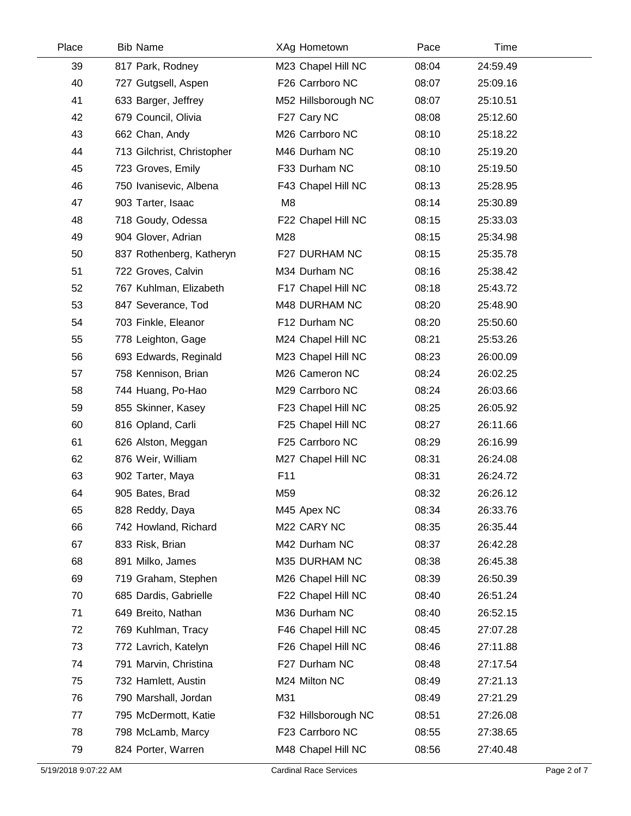| Place | <b>Bib Name</b>            | XAg Hometown        | Pace  | Time     |  |
|-------|----------------------------|---------------------|-------|----------|--|
| 39    | 817 Park, Rodney           | M23 Chapel Hill NC  | 08:04 | 24:59.49 |  |
| 40    | 727 Gutgsell, Aspen        | F26 Carrboro NC     | 08:07 | 25:09.16 |  |
| 41    | 633 Barger, Jeffrey        | M52 Hillsborough NC | 08:07 | 25:10.51 |  |
| 42    | 679 Council, Olivia        | F27 Cary NC         | 08:08 | 25:12.60 |  |
| 43    | 662 Chan, Andy             | M26 Carrboro NC     | 08:10 | 25:18.22 |  |
| 44    | 713 Gilchrist, Christopher | M46 Durham NC       | 08:10 | 25:19.20 |  |
| 45    | 723 Groves, Emily          | F33 Durham NC       | 08:10 | 25:19.50 |  |
| 46    | 750 Ivanisevic, Albena     | F43 Chapel Hill NC  | 08:13 | 25:28.95 |  |
| 47    | 903 Tarter, Isaac          | M <sub>8</sub>      | 08:14 | 25:30.89 |  |
| 48    | 718 Goudy, Odessa          | F22 Chapel Hill NC  | 08:15 | 25:33.03 |  |
| 49    | 904 Glover, Adrian         | M28                 | 08:15 | 25:34.98 |  |
| 50    | 837 Rothenberg, Katheryn   | F27 DURHAM NC       | 08:15 | 25:35.78 |  |
| 51    | 722 Groves, Calvin         | M34 Durham NC       | 08:16 | 25:38.42 |  |
| 52    | 767 Kuhlman, Elizabeth     | F17 Chapel Hill NC  | 08:18 | 25:43.72 |  |
| 53    | 847 Severance, Tod         | M48 DURHAM NC       | 08:20 | 25:48.90 |  |
| 54    | 703 Finkle, Eleanor        | F12 Durham NC       | 08:20 | 25:50.60 |  |
| 55    | 778 Leighton, Gage         | M24 Chapel Hill NC  | 08:21 | 25:53.26 |  |
| 56    | 693 Edwards, Reginald      | M23 Chapel Hill NC  | 08:23 | 26:00.09 |  |
| 57    | 758 Kennison, Brian        | M26 Cameron NC      | 08:24 | 26:02.25 |  |
| 58    | 744 Huang, Po-Hao          | M29 Carrboro NC     | 08:24 | 26:03.66 |  |
| 59    | 855 Skinner, Kasey         | F23 Chapel Hill NC  | 08:25 | 26:05.92 |  |
| 60    | 816 Opland, Carli          | F25 Chapel Hill NC  | 08:27 | 26:11.66 |  |
| 61    | 626 Alston, Meggan         | F25 Carrboro NC     | 08:29 | 26:16.99 |  |
| 62    | 876 Weir, William          | M27 Chapel Hill NC  | 08:31 | 26:24.08 |  |
| 63    | 902 Tarter, Maya           | F11                 | 08:31 | 26:24.72 |  |
| 64    | 905 Bates, Brad            | M59                 | 08:32 | 26:26.12 |  |
| 65    | 828 Reddy, Daya            | M45 Apex NC         | 08:34 | 26:33.76 |  |
| 66    | 742 Howland, Richard       | M22 CARY NC         | 08:35 | 26:35.44 |  |
| 67    | 833 Risk, Brian            | M42 Durham NC       | 08:37 | 26:42.28 |  |
| 68    | 891 Milko, James           | M35 DURHAM NC       | 08:38 | 26:45.38 |  |
| 69    | 719 Graham, Stephen        | M26 Chapel Hill NC  | 08:39 | 26:50.39 |  |
| 70    | 685 Dardis, Gabrielle      | F22 Chapel Hill NC  | 08:40 | 26:51.24 |  |
| 71    | 649 Breito, Nathan         | M36 Durham NC       | 08:40 | 26:52.15 |  |
| 72    | 769 Kuhlman, Tracy         | F46 Chapel Hill NC  | 08:45 | 27:07.28 |  |
| 73    | 772 Lavrich, Katelyn       | F26 Chapel Hill NC  | 08:46 | 27:11.88 |  |
| 74    | 791 Marvin, Christina      | F27 Durham NC       | 08:48 | 27:17.54 |  |
| 75    | 732 Hamlett, Austin        | M24 Milton NC       | 08:49 | 27:21.13 |  |
| 76    | 790 Marshall, Jordan       | M31                 | 08:49 | 27:21.29 |  |
| 77    | 795 McDermott, Katie       | F32 Hillsborough NC | 08:51 | 27:26.08 |  |
| 78    | 798 McLamb, Marcy          | F23 Carrboro NC     | 08:55 | 27:38.65 |  |
| 79    | 824 Porter, Warren         | M48 Chapel Hill NC  | 08:56 | 27:40.48 |  |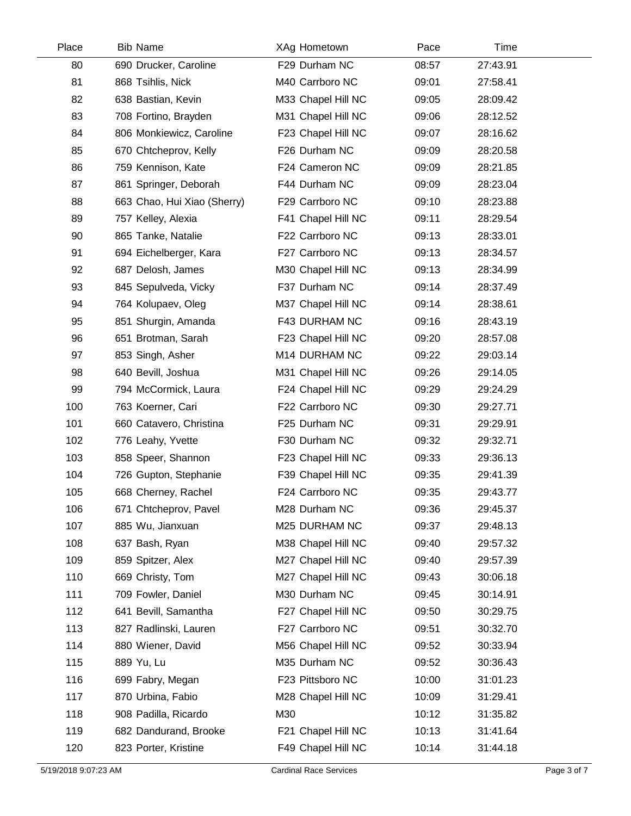| Place | <b>Bib Name</b>             | XAg Hometown       | Pace  | Time     |  |
|-------|-----------------------------|--------------------|-------|----------|--|
| 80    | 690 Drucker, Caroline       | F29 Durham NC      | 08:57 | 27:43.91 |  |
| 81    | 868 Tsihlis, Nick           | M40 Carrboro NC    | 09:01 | 27:58.41 |  |
| 82    | 638 Bastian, Kevin          | M33 Chapel Hill NC | 09:05 | 28:09.42 |  |
| 83    | 708 Fortino, Brayden        | M31 Chapel Hill NC | 09:06 | 28:12.52 |  |
| 84    | 806 Monkiewicz, Caroline    | F23 Chapel Hill NC | 09:07 | 28:16.62 |  |
| 85    | 670 Chtcheprov, Kelly       | F26 Durham NC      | 09:09 | 28:20.58 |  |
| 86    | 759 Kennison, Kate          | F24 Cameron NC     | 09:09 | 28:21.85 |  |
| 87    | 861 Springer, Deborah       | F44 Durham NC      | 09:09 | 28:23.04 |  |
| 88    | 663 Chao, Hui Xiao (Sherry) | F29 Carrboro NC    | 09:10 | 28:23.88 |  |
| 89    | 757 Kelley, Alexia          | F41 Chapel Hill NC | 09:11 | 28:29.54 |  |
| 90    | 865 Tanke, Natalie          | F22 Carrboro NC    | 09:13 | 28:33.01 |  |
| 91    | 694 Eichelberger, Kara      | F27 Carrboro NC    | 09:13 | 28:34.57 |  |
| 92    | 687 Delosh, James           | M30 Chapel Hill NC | 09:13 | 28:34.99 |  |
| 93    | 845 Sepulveda, Vicky        | F37 Durham NC      | 09:14 | 28:37.49 |  |
| 94    | 764 Kolupaev, Oleg          | M37 Chapel Hill NC | 09:14 | 28:38.61 |  |
| 95    | 851 Shurgin, Amanda         | F43 DURHAM NC      | 09:16 | 28:43.19 |  |
| 96    | 651 Brotman, Sarah          | F23 Chapel Hill NC | 09:20 | 28:57.08 |  |
| 97    | 853 Singh, Asher            | M14 DURHAM NC      | 09:22 | 29:03.14 |  |
| 98    | 640 Bevill, Joshua          | M31 Chapel Hill NC | 09:26 | 29:14.05 |  |
| 99    | 794 McCormick, Laura        | F24 Chapel Hill NC | 09:29 | 29:24.29 |  |
| 100   | 763 Koerner, Cari           | F22 Carrboro NC    | 09:30 | 29:27.71 |  |
| 101   | 660 Catavero, Christina     | F25 Durham NC      | 09:31 | 29:29.91 |  |
| 102   | 776 Leahy, Yvette           | F30 Durham NC      | 09:32 | 29:32.71 |  |
| 103   | 858 Speer, Shannon          | F23 Chapel Hill NC | 09:33 | 29:36.13 |  |
| 104   | 726 Gupton, Stephanie       | F39 Chapel Hill NC | 09:35 | 29:41.39 |  |
| 105   | 668 Cherney, Rachel         | F24 Carrboro NC    | 09:35 | 29:43.77 |  |
| 106   | 671 Chtcheprov, Pavel       | M28 Durham NC      | 09:36 | 29:45.37 |  |
| 107   | 885 Wu, Jianxuan            | M25 DURHAM NC      | 09:37 | 29:48.13 |  |
| 108   | 637 Bash, Ryan              | M38 Chapel Hill NC | 09:40 | 29:57.32 |  |
| 109   | 859 Spitzer, Alex           | M27 Chapel Hill NC | 09:40 | 29:57.39 |  |
| 110   | 669 Christy, Tom            | M27 Chapel Hill NC | 09:43 | 30:06.18 |  |
| 111   | 709 Fowler, Daniel          | M30 Durham NC      | 09:45 | 30:14.91 |  |
| 112   | 641 Bevill, Samantha        | F27 Chapel Hill NC | 09:50 | 30:29.75 |  |
| 113   | 827 Radlinski, Lauren       | F27 Carrboro NC    | 09:51 | 30:32.70 |  |
| 114   | 880 Wiener, David           | M56 Chapel Hill NC | 09:52 | 30:33.94 |  |
| 115   | 889 Yu, Lu                  | M35 Durham NC      | 09:52 | 30:36.43 |  |
| 116   | 699 Fabry, Megan            | F23 Pittsboro NC   | 10:00 | 31:01.23 |  |
| 117   | 870 Urbina, Fabio           | M28 Chapel Hill NC | 10:09 | 31:29.41 |  |
| 118   | 908 Padilla, Ricardo        | M30                | 10:12 | 31:35.82 |  |
| 119   | 682 Dandurand, Brooke       | F21 Chapel Hill NC | 10:13 | 31:41.64 |  |
| 120   | 823 Porter, Kristine        | F49 Chapel Hill NC | 10:14 | 31:44.18 |  |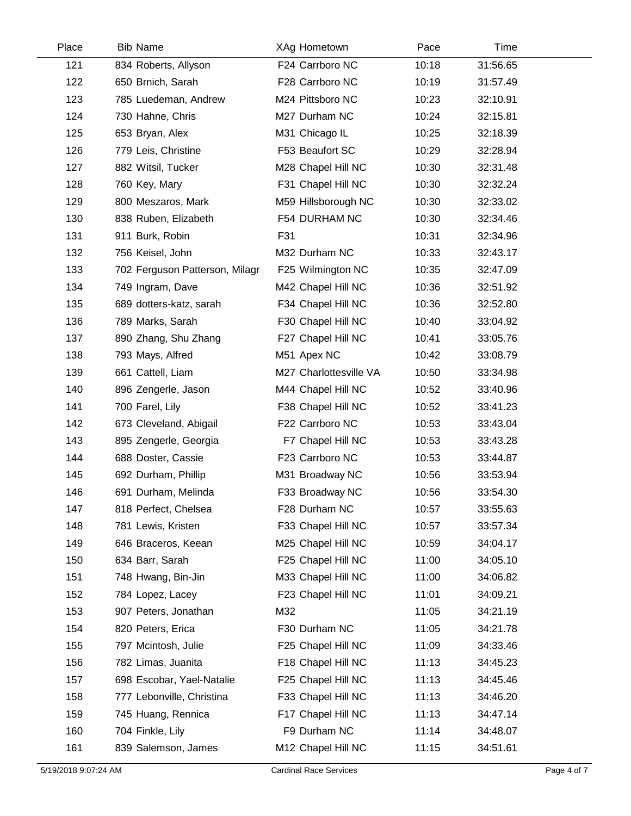| Place | <b>Bib Name</b>                | XAg Hometown           | Pace  | Time     |  |
|-------|--------------------------------|------------------------|-------|----------|--|
| 121   | 834 Roberts, Allyson           | F24 Carrboro NC        | 10:18 | 31:56.65 |  |
| 122   | 650 Brnich, Sarah              | F28 Carrboro NC        | 10:19 | 31:57.49 |  |
| 123   | 785 Luedeman, Andrew           | M24 Pittsboro NC       | 10:23 | 32:10.91 |  |
| 124   | 730 Hahne, Chris               | M27 Durham NC          | 10:24 | 32:15.81 |  |
| 125   | 653 Bryan, Alex                | M31 Chicago IL         | 10:25 | 32:18.39 |  |
| 126   | 779 Leis, Christine            | F53 Beaufort SC        | 10:29 | 32:28.94 |  |
| 127   | 882 Witsil, Tucker             | M28 Chapel Hill NC     | 10:30 | 32:31.48 |  |
| 128   | 760 Key, Mary                  | F31 Chapel Hill NC     | 10:30 | 32:32.24 |  |
| 129   | 800 Meszaros, Mark             | M59 Hillsborough NC    | 10:30 | 32:33.02 |  |
| 130   | 838 Ruben, Elizabeth           | F54 DURHAM NC          | 10:30 | 32:34.46 |  |
| 131   | 911 Burk, Robin                | F31                    | 10:31 | 32:34.96 |  |
| 132   | 756 Keisel, John               | M32 Durham NC          | 10:33 | 32:43.17 |  |
| 133   | 702 Ferguson Patterson, Milagr | F25 Wilmington NC      | 10:35 | 32:47.09 |  |
| 134   | 749 Ingram, Dave               | M42 Chapel Hill NC     | 10:36 | 32:51.92 |  |
| 135   | 689 dotters-katz, sarah        | F34 Chapel Hill NC     | 10:36 | 32:52.80 |  |
| 136   | 789 Marks, Sarah               | F30 Chapel Hill NC     | 10:40 | 33:04.92 |  |
| 137   | 890 Zhang, Shu Zhang           | F27 Chapel Hill NC     | 10:41 | 33:05.76 |  |
| 138   | 793 Mays, Alfred               | M51 Apex NC            | 10:42 | 33:08.79 |  |
| 139   | 661 Cattell, Liam              | M27 Charlottesville VA | 10:50 | 33:34.98 |  |
| 140   | 896 Zengerle, Jason            | M44 Chapel Hill NC     | 10:52 | 33:40.96 |  |
| 141   | 700 Farel, Lily                | F38 Chapel Hill NC     | 10:52 | 33:41.23 |  |
| 142   | 673 Cleveland, Abigail         | F22 Carrboro NC        | 10:53 | 33:43.04 |  |
| 143   | 895 Zengerle, Georgia          | F7 Chapel Hill NC      | 10:53 | 33:43.28 |  |
| 144   | 688 Doster, Cassie             | F23 Carrboro NC        | 10:53 | 33:44.87 |  |
| 145   | 692 Durham, Phillip            | M31 Broadway NC        | 10:56 | 33:53.94 |  |
| 146   | 691 Durham, Melinda            | F33 Broadway NC        | 10:56 | 33:54.30 |  |
| 147   | 818 Perfect, Chelsea           | F28 Durham NC          | 10:57 | 33:55.63 |  |
| 148   | 781 Lewis, Kristen             | F33 Chapel Hill NC     | 10:57 | 33:57.34 |  |
| 149   | 646 Braceros, Keean            | M25 Chapel Hill NC     | 10:59 | 34:04.17 |  |
| 150   | 634 Barr, Sarah                | F25 Chapel Hill NC     | 11:00 | 34:05.10 |  |
| 151   | 748 Hwang, Bin-Jin             | M33 Chapel Hill NC     | 11:00 | 34:06.82 |  |
| 152   | 784 Lopez, Lacey               | F23 Chapel Hill NC     | 11:01 | 34:09.21 |  |
| 153   | 907 Peters, Jonathan           | M32                    | 11:05 | 34:21.19 |  |
| 154   | 820 Peters, Erica              | F30 Durham NC          | 11:05 | 34:21.78 |  |
| 155   | 797 Mcintosh, Julie            | F25 Chapel Hill NC     | 11:09 | 34:33.46 |  |
| 156   | 782 Limas, Juanita             | F18 Chapel Hill NC     | 11:13 | 34:45.23 |  |
| 157   | 698 Escobar, Yael-Natalie      | F25 Chapel Hill NC     | 11:13 | 34:45.46 |  |
| 158   | 777 Lebonville, Christina      | F33 Chapel Hill NC     | 11:13 | 34:46.20 |  |
| 159   | 745 Huang, Rennica             | F17 Chapel Hill NC     | 11:13 | 34:47.14 |  |
| 160   | 704 Finkle, Lily               | F9 Durham NC           | 11:14 | 34:48.07 |  |
| 161   | 839 Salemson, James            | M12 Chapel Hill NC     | 11:15 | 34:51.61 |  |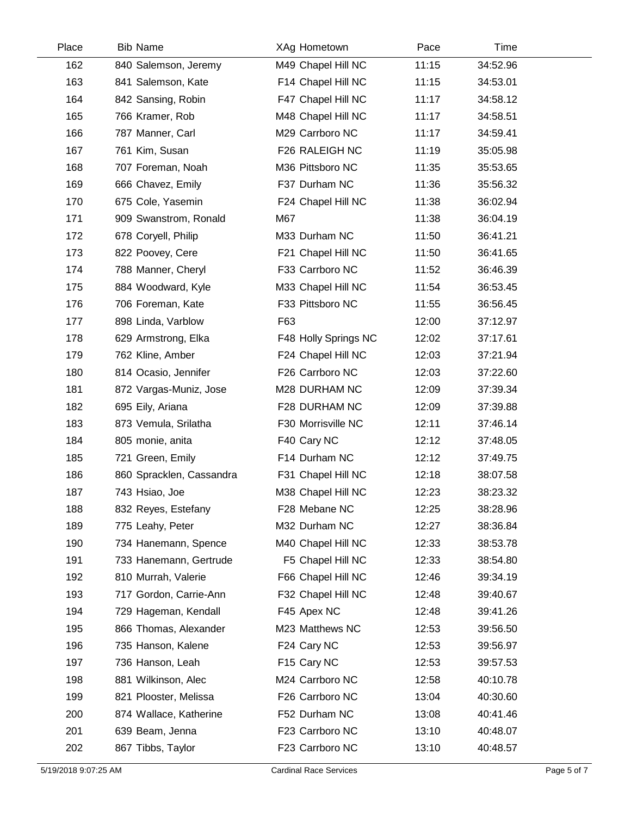| Place | <b>Bib Name</b>          | XAg Hometown         | Pace  | Time     |  |
|-------|--------------------------|----------------------|-------|----------|--|
| 162   | 840 Salemson, Jeremy     | M49 Chapel Hill NC   | 11:15 | 34:52.96 |  |
| 163   | 841 Salemson, Kate       | F14 Chapel Hill NC   | 11:15 | 34:53.01 |  |
| 164   | 842 Sansing, Robin       | F47 Chapel Hill NC   | 11:17 | 34:58.12 |  |
| 165   | 766 Kramer, Rob          | M48 Chapel Hill NC   | 11:17 | 34:58.51 |  |
| 166   | 787 Manner, Carl         | M29 Carrboro NC      | 11:17 | 34:59.41 |  |
| 167   | 761 Kim, Susan           | F26 RALEIGH NC       | 11:19 | 35:05.98 |  |
| 168   | 707 Foreman, Noah        | M36 Pittsboro NC     | 11:35 | 35:53.65 |  |
| 169   | 666 Chavez, Emily        | F37 Durham NC        | 11:36 | 35:56.32 |  |
| 170   | 675 Cole, Yasemin        | F24 Chapel Hill NC   | 11:38 | 36:02.94 |  |
| 171   | 909 Swanstrom, Ronald    | M67                  | 11:38 | 36:04.19 |  |
| 172   | 678 Coryell, Philip      | M33 Durham NC        | 11:50 | 36:41.21 |  |
| 173   | 822 Poovey, Cere         | F21 Chapel Hill NC   | 11:50 | 36:41.65 |  |
| 174   | 788 Manner, Cheryl       | F33 Carrboro NC      | 11:52 | 36:46.39 |  |
| 175   | 884 Woodward, Kyle       | M33 Chapel Hill NC   | 11:54 | 36:53.45 |  |
| 176   | 706 Foreman, Kate        | F33 Pittsboro NC     | 11:55 | 36:56.45 |  |
| 177   | 898 Linda, Varblow       | F63                  | 12:00 | 37:12.97 |  |
| 178   | 629 Armstrong, Elka      | F48 Holly Springs NC | 12:02 | 37:17.61 |  |
| 179   | 762 Kline, Amber         | F24 Chapel Hill NC   | 12:03 | 37:21.94 |  |
| 180   | 814 Ocasio, Jennifer     | F26 Carrboro NC      | 12:03 | 37:22.60 |  |
| 181   | 872 Vargas-Muniz, Jose   | M28 DURHAM NC        | 12:09 | 37:39.34 |  |
| 182   | 695 Eily, Ariana         | F28 DURHAM NC        | 12:09 | 37:39.88 |  |
| 183   | 873 Vemula, Srilatha     | F30 Morrisville NC   | 12:11 | 37:46.14 |  |
| 184   | 805 monie, anita         | F40 Cary NC          | 12:12 | 37:48.05 |  |
| 185   | 721 Green, Emily         | F14 Durham NC        | 12:12 | 37:49.75 |  |
| 186   | 860 Spracklen, Cassandra | F31 Chapel Hill NC   | 12:18 | 38:07.58 |  |
| 187   | 743 Hsiao, Joe           | M38 Chapel Hill NC   | 12:23 | 38:23.32 |  |
| 188   | 832 Reyes, Estefany      | F28 Mebane NC        | 12:25 | 38:28.96 |  |
| 189   | 775 Leahy, Peter         | M32 Durham NC        | 12:27 | 38:36.84 |  |
| 190   | 734 Hanemann, Spence     | M40 Chapel Hill NC   | 12:33 | 38:53.78 |  |
| 191   | 733 Hanemann, Gertrude   | F5 Chapel Hill NC    | 12:33 | 38:54.80 |  |
| 192   | 810 Murrah, Valerie      | F66 Chapel Hill NC   | 12:46 | 39:34.19 |  |
| 193   | 717 Gordon, Carrie-Ann   | F32 Chapel Hill NC   | 12:48 | 39:40.67 |  |
| 194   | 729 Hageman, Kendall     | F45 Apex NC          | 12:48 | 39:41.26 |  |
| 195   | 866 Thomas, Alexander    | M23 Matthews NC      | 12:53 | 39:56.50 |  |
| 196   | 735 Hanson, Kalene       | F24 Cary NC          | 12:53 | 39:56.97 |  |
| 197   | 736 Hanson, Leah         | F15 Cary NC          | 12:53 | 39:57.53 |  |
| 198   | 881 Wilkinson, Alec      | M24 Carrboro NC      | 12:58 | 40:10.78 |  |
| 199   | 821 Plooster, Melissa    | F26 Carrboro NC      | 13:04 | 40:30.60 |  |
| 200   | 874 Wallace, Katherine   | F52 Durham NC        | 13:08 | 40:41.46 |  |
| 201   | 639 Beam, Jenna          | F23 Carrboro NC      | 13:10 | 40:48.07 |  |
| 202   | 867 Tibbs, Taylor        | F23 Carrboro NC      | 13:10 | 40:48.57 |  |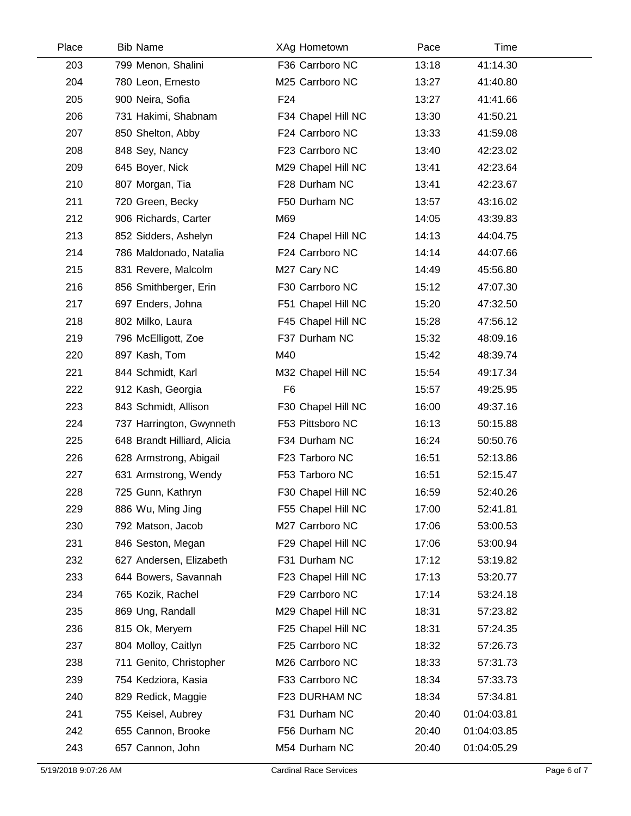| Place | <b>Bib Name</b>             | XAg Hometown       | Pace  | Time        |  |
|-------|-----------------------------|--------------------|-------|-------------|--|
| 203   | 799 Menon, Shalini          | F36 Carrboro NC    | 13:18 | 41:14.30    |  |
| 204   | 780 Leon, Ernesto           | M25 Carrboro NC    | 13:27 | 41:40.80    |  |
| 205   | 900 Neira, Sofia            | F <sub>24</sub>    | 13:27 | 41:41.66    |  |
| 206   | 731 Hakimi, Shabnam         | F34 Chapel Hill NC | 13:30 | 41:50.21    |  |
| 207   | 850 Shelton, Abby           | F24 Carrboro NC    | 13:33 | 41:59.08    |  |
| 208   | 848 Sey, Nancy              | F23 Carrboro NC    | 13:40 | 42:23.02    |  |
| 209   | 645 Boyer, Nick             | M29 Chapel Hill NC | 13:41 | 42:23.64    |  |
| 210   | 807 Morgan, Tia             | F28 Durham NC      | 13:41 | 42:23.67    |  |
| 211   | 720 Green, Becky            | F50 Durham NC      | 13:57 | 43:16.02    |  |
| 212   | 906 Richards, Carter        | M69                | 14:05 | 43:39.83    |  |
| 213   | 852 Sidders, Ashelyn        | F24 Chapel Hill NC | 14:13 | 44:04.75    |  |
| 214   | 786 Maldonado, Natalia      | F24 Carrboro NC    | 14:14 | 44:07.66    |  |
| 215   | 831 Revere, Malcolm         | M27 Cary NC        | 14:49 | 45:56.80    |  |
| 216   | 856 Smithberger, Erin       | F30 Carrboro NC    | 15:12 | 47:07.30    |  |
| 217   | 697 Enders, Johna           | F51 Chapel Hill NC | 15:20 | 47:32.50    |  |
| 218   | 802 Milko, Laura            | F45 Chapel Hill NC | 15:28 | 47:56.12    |  |
| 219   | 796 McElligott, Zoe         | F37 Durham NC      | 15:32 | 48:09.16    |  |
| 220   | 897 Kash, Tom               | M40                | 15:42 | 48:39.74    |  |
| 221   | 844 Schmidt, Karl           | M32 Chapel Hill NC | 15:54 | 49:17.34    |  |
| 222   | 912 Kash, Georgia           | F <sub>6</sub>     | 15:57 | 49:25.95    |  |
| 223   | 843 Schmidt, Allison        | F30 Chapel Hill NC | 16:00 | 49:37.16    |  |
| 224   | 737 Harrington, Gwynneth    | F53 Pittsboro NC   | 16:13 | 50:15.88    |  |
| 225   | 648 Brandt Hilliard, Alicia | F34 Durham NC      | 16:24 | 50:50.76    |  |
| 226   | 628 Armstrong, Abigail      | F23 Tarboro NC     | 16:51 | 52:13.86    |  |
| 227   | 631 Armstrong, Wendy        | F53 Tarboro NC     | 16:51 | 52:15.47    |  |
| 228   | 725 Gunn, Kathryn           | F30 Chapel Hill NC | 16:59 | 52:40.26    |  |
| 229   | 886 Wu, Ming Jing           | F55 Chapel Hill NC | 17:00 | 52:41.81    |  |
| 230   | 792 Matson, Jacob           | M27 Carrboro NC    | 17:06 | 53:00.53    |  |
| 231   | 846 Seston, Megan           | F29 Chapel Hill NC | 17:06 | 53:00.94    |  |
| 232   | 627 Andersen, Elizabeth     | F31 Durham NC      | 17:12 | 53:19.82    |  |
| 233   | 644 Bowers, Savannah        | F23 Chapel Hill NC | 17:13 | 53:20.77    |  |
| 234   | 765 Kozik, Rachel           | F29 Carrboro NC    | 17:14 | 53:24.18    |  |
| 235   | 869 Ung, Randall            | M29 Chapel Hill NC | 18:31 | 57:23.82    |  |
| 236   | 815 Ok, Meryem              | F25 Chapel Hill NC | 18:31 | 57:24.35    |  |
| 237   | 804 Molloy, Caitlyn         | F25 Carrboro NC    | 18:32 | 57:26.73    |  |
| 238   | 711 Genito, Christopher     | M26 Carrboro NC    | 18:33 | 57:31.73    |  |
| 239   | 754 Kedziora, Kasia         | F33 Carrboro NC    | 18:34 | 57:33.73    |  |
| 240   | 829 Redick, Maggie          | F23 DURHAM NC      | 18:34 | 57:34.81    |  |
| 241   | 755 Keisel, Aubrey          | F31 Durham NC      | 20:40 | 01:04:03.81 |  |
| 242   | 655 Cannon, Brooke          | F56 Durham NC      | 20:40 | 01:04:03.85 |  |
| 243   | 657 Cannon, John            | M54 Durham NC      | 20:40 | 01:04:05.29 |  |